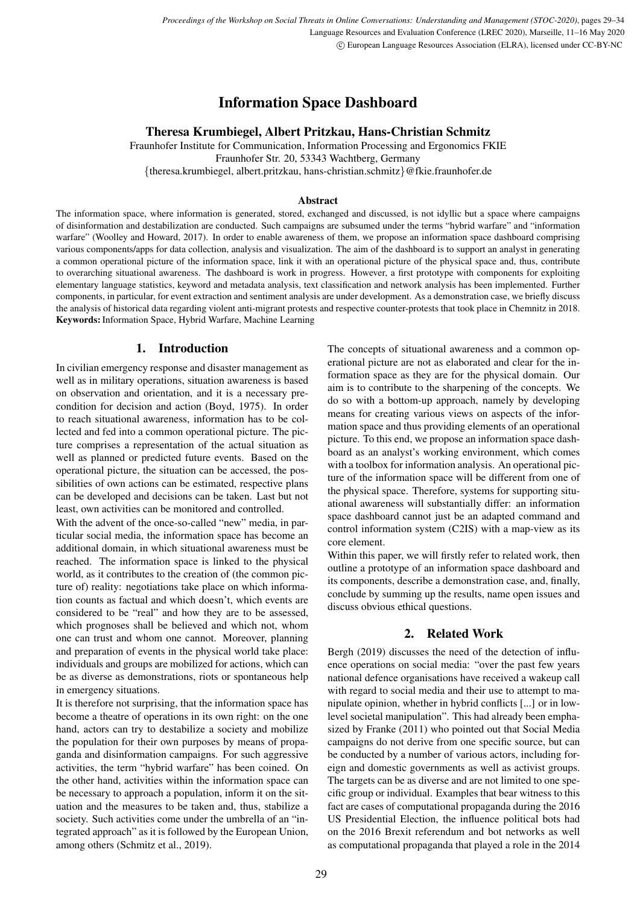# Information Space Dashboard

# Theresa Krumbiegel, Albert Pritzkau, Hans-Christian Schmitz

Fraunhofer Institute for Communication, Information Processing and Ergonomics FKIE Fraunhofer Str. 20, 53343 Wachtberg, Germany {theresa.krumbiegel, albert.pritzkau, hans-christian.schmitz}@fkie.fraunhofer.de

#### Abstract

The information space, where information is generated, stored, exchanged and discussed, is not idyllic but a space where campaigns of disinformation and destabilization are conducted. Such campaigns are subsumed under the terms "hybrid warfare" and "information warfare" [\(Woolley and Howard, 2017\)](#page-5-0). In order to enable awareness of them, we propose an information space dashboard comprising various components/apps for data collection, analysis and visualization. The aim of the dashboard is to support an analyst in generating a common operational picture of the information space, link it with an operational picture of the physical space and, thus, contribute to overarching situational awareness. The dashboard is work in progress. However, a first prototype with components for exploiting elementary language statistics, keyword and metadata analysis, text classification and network analysis has been implemented. Further components, in particular, for event extraction and sentiment analysis are under development. As a demonstration case, we briefly discuss the analysis of historical data regarding violent anti-migrant protests and respective counter-protests that took place in Chemnitz in 2018. Keywords: Information Space, Hybrid Warfare, Machine Learning

# 1. Introduction

In civilian emergency response and disaster management as well as in military operations, situation awareness is based on observation and orientation, and it is a necessary precondition for decision and action [\(Boyd, 1975\)](#page-4-0). In order to reach situational awareness, information has to be collected and fed into a common operational picture. The picture comprises a representation of the actual situation as well as planned or predicted future events. Based on the operational picture, the situation can be accessed, the possibilities of own actions can be estimated, respective plans can be developed and decisions can be taken. Last but not least, own activities can be monitored and controlled.

With the advent of the once-so-called "new" media, in particular social media, the information space has become an additional domain, in which situational awareness must be reached. The information space is linked to the physical world, as it contributes to the creation of (the common picture of) reality: negotiations take place on which information counts as factual and which doesn't, which events are considered to be "real" and how they are to be assessed, which prognoses shall be believed and which not, whom one can trust and whom one cannot. Moreover, planning and preparation of events in the physical world take place: individuals and groups are mobilized for actions, which can be as diverse as demonstrations, riots or spontaneous help in emergency situations.

It is therefore not surprising, that the information space has become a theatre of operations in its own right: on the one hand, actors can try to destabilize a society and mobilize the population for their own purposes by means of propaganda and disinformation campaigns. For such aggressive activities, the term "hybrid warfare" has been coined. On the other hand, activities within the information space can be necessary to approach a population, inform it on the situation and the measures to be taken and, thus, stabilize a society. Such activities come under the umbrella of an "integrated approach" as it is followed by the European Union, among others [\(Schmitz et al., 2019\)](#page-5-1).

The concepts of situational awareness and a common operational picture are not as elaborated and clear for the information space as they are for the physical domain. Our aim is to contribute to the sharpening of the concepts. We do so with a bottom-up approach, namely by developing means for creating various views on aspects of the information space and thus providing elements of an operational picture. To this end, we propose an information space dashboard as an analyst's working environment, which comes with a toolbox for information analysis. An operational picture of the information space will be different from one of the physical space. Therefore, systems for supporting situational awareness will substantially differ: an information space dashboard cannot just be an adapted command and control information system (C2IS) with a map-view as its core element.

Within this paper, we will firstly refer to related work, then outline a prototype of an information space dashboard and its components, describe a demonstration case, and, finally, conclude by summing up the results, name open issues and discuss obvious ethical questions.

# 2. Related Work

Bergh [\(2019\)](#page-4-1) discusses the need of the detection of influence operations on social media: "over the past few years national defence organisations have received a wakeup call with regard to social media and their use to attempt to manipulate opinion, whether in hybrid conflicts [...] or in lowlevel societal manipulation". This had already been emphasized by Franke [\(2011\)](#page-5-2) who pointed out that Social Media campaigns do not derive from one specific source, but can be conducted by a number of various actors, including foreign and domestic governments as well as activist groups. The targets can be as diverse and are not limited to one specific group or individual. Examples that bear witness to this fact are cases of computational propaganda during the 2016 US Presidential Election, the influence political bots had on the 2016 Brexit referendum and bot networks as well as computational propaganda that played a role in the 2014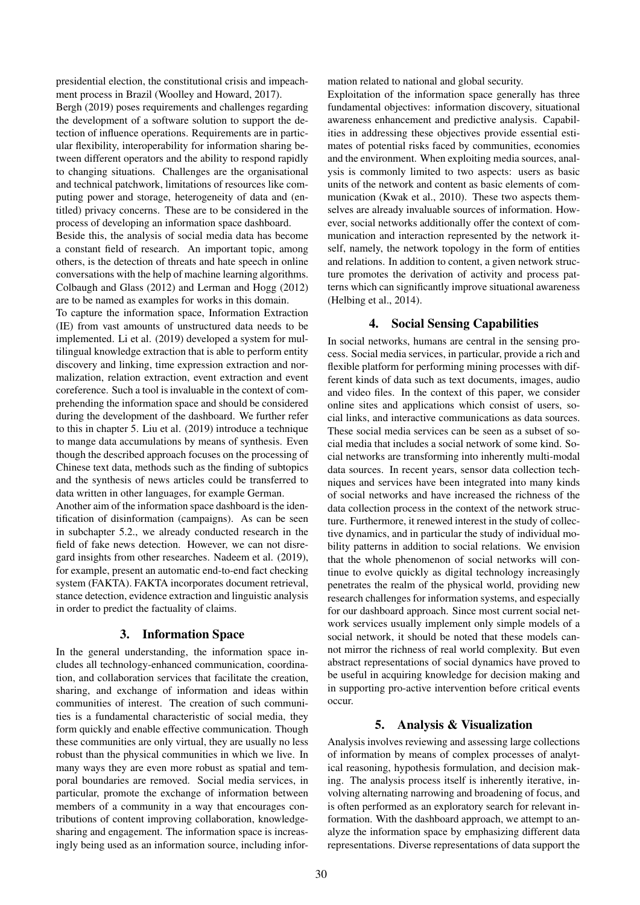presidential election, the constitutional crisis and impeachment process in Brazil [\(Woolley and Howard, 2017\)](#page-5-0).

Bergh [\(2019\)](#page-4-1) poses requirements and challenges regarding the development of a software solution to support the detection of influence operations. Requirements are in particular flexibility, interoperability for information sharing between different operators and the ability to respond rapidly to changing situations. Challenges are the organisational and technical patchwork, limitations of resources like computing power and storage, heterogeneity of data and (entitled) privacy concerns. These are to be considered in the process of developing an information space dashboard.

Beside this, the analysis of social media data has become a constant field of research. An important topic, among others, is the detection of threats and hate speech in online conversations with the help of machine learning algorithms. Colbaugh and Glass [\(2012\)](#page-5-3) and Lerman and Hogg [\(2012\)](#page-5-4) are to be named as examples for works in this domain.

To capture the information space, Information Extraction (IE) from vast amounts of unstructured data needs to be implemented. Li et al. [\(2019\)](#page-5-5) developed a system for multilingual knowledge extraction that is able to perform entity discovery and linking, time expression extraction and normalization, relation extraction, event extraction and event coreference. Such a tool is invaluable in the context of comprehending the information space and should be considered during the development of the dashboard. We further refer to this in chapter [5.](#page-1-0) Liu et al. [\(2019\)](#page-5-6) introduce a technique to mange data accumulations by means of synthesis. Even though the described approach focuses on the processing of Chinese text data, methods such as the finding of subtopics and the synthesis of news articles could be transferred to data written in other languages, for example German.

Another aim of the information space dashboard is the identification of disinformation (campaigns). As can be seen in subchapter [5.2.,](#page-2-0) we already conducted research in the field of fake news detection. However, we can not disregard insights from other researches. Nadeem et al. [\(2019\)](#page-5-7), for example, present an automatic end-to-end fact checking system (FAKTA). FAKTA incorporates document retrieval, stance detection, evidence extraction and linguistic analysis in order to predict the factuality of claims.

# 3. Information Space

<span id="page-1-1"></span>In the general understanding, the information space includes all technology-enhanced communication, coordination, and collaboration services that facilitate the creation, sharing, and exchange of information and ideas within communities of interest. The creation of such communities is a fundamental characteristic of social media, they form quickly and enable effective communication. Though these communities are only virtual, they are usually no less robust than the physical communities in which we live. In many ways they are even more robust as spatial and temporal boundaries are removed. Social media services, in particular, promote the exchange of information between members of a community in a way that encourages contributions of content improving collaboration, knowledgesharing and engagement. The information space is increasingly being used as an information source, including information related to national and global security.

Exploitation of the information space generally has three fundamental objectives: information discovery, situational awareness enhancement and predictive analysis. Capabilities in addressing these objectives provide essential estimates of potential risks faced by communities, economies and the environment. When exploiting media sources, analysis is commonly limited to two aspects: users as basic units of the network and content as basic elements of communication [\(Kwak et al., 2010\)](#page-5-8). These two aspects themselves are already invaluable sources of information. However, social networks additionally offer the context of communication and interaction represented by the network itself, namely, the network topology in the form of entities and relations. In addition to content, a given network structure promotes the derivation of activity and process patterns which can significantly improve situational awareness [\(Helbing et al., 2014\)](#page-5-9).

# 4. Social Sensing Capabilities

In social networks, humans are central in the sensing process. Social media services, in particular, provide a rich and flexible platform for performing mining processes with different kinds of data such as text documents, images, audio and video files. In the context of this paper, we consider online sites and applications which consist of users, social links, and interactive communications as data sources. These social media services can be seen as a subset of social media that includes a social network of some kind. Social networks are transforming into inherently multi-modal data sources. In recent years, sensor data collection techniques and services have been integrated into many kinds of social networks and have increased the richness of the data collection process in the context of the network structure. Furthermore, it renewed interest in the study of collective dynamics, and in particular the study of individual mobility patterns in addition to social relations. We envision that the whole phenomenon of social networks will continue to evolve quickly as digital technology increasingly penetrates the realm of the physical world, providing new research challenges for information systems, and especially for our dashboard approach. Since most current social network services usually implement only simple models of a social network, it should be noted that these models cannot mirror the richness of real world complexity. But even abstract representations of social dynamics have proved to be useful in acquiring knowledge for decision making and in supporting pro-active intervention before critical events occur.

# 5. Analysis & Visualization

<span id="page-1-0"></span>Analysis involves reviewing and assessing large collections of information by means of complex processes of analytical reasoning, hypothesis formulation, and decision making. The analysis process itself is inherently iterative, involving alternating narrowing and broadening of focus, and is often performed as an exploratory search for relevant information. With the dashboard approach, we attempt to analyze the information space by emphasizing different data representations. Diverse representations of data support the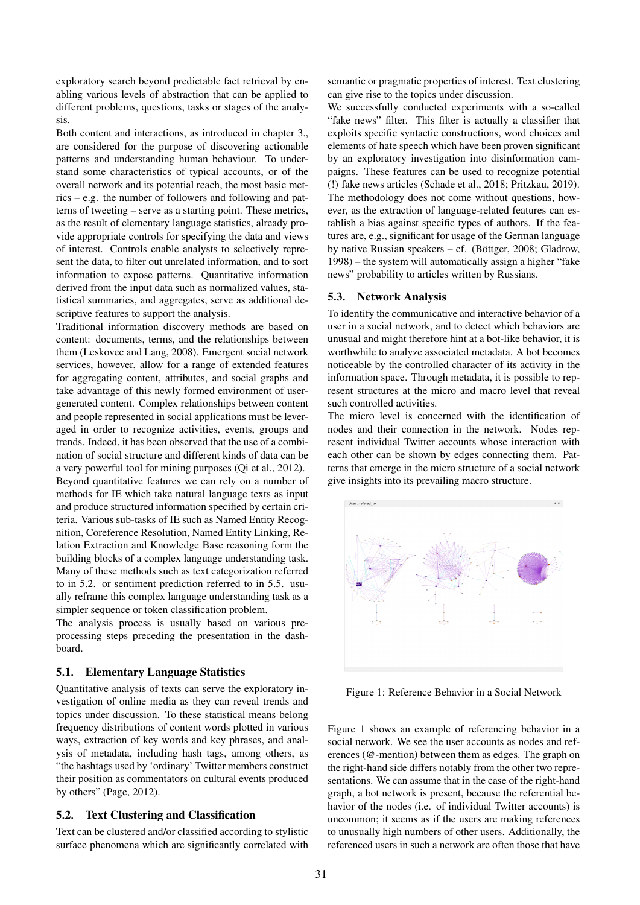exploratory search beyond predictable fact retrieval by enabling various levels of abstraction that can be applied to different problems, questions, tasks or stages of the analysis.

Both content and interactions, as introduced in chapter [3.,](#page-1-1) are considered for the purpose of discovering actionable patterns and understanding human behaviour. To understand some characteristics of typical accounts, or of the overall network and its potential reach, the most basic metrics – e.g. the number of followers and following and patterns of tweeting – serve as a starting point. These metrics, as the result of elementary language statistics, already provide appropriate controls for specifying the data and views of interest. Controls enable analysts to selectively represent the data, to filter out unrelated information, and to sort information to expose patterns. Quantitative information derived from the input data such as normalized values, statistical summaries, and aggregates, serve as additional descriptive features to support the analysis.

Traditional information discovery methods are based on content: documents, terms, and the relationships between them [\(Leskovec and Lang, 2008\)](#page-5-10). Emergent social network services, however, allow for a range of extended features for aggregating content, attributes, and social graphs and take advantage of this newly formed environment of usergenerated content. Complex relationships between content and people represented in social applications must be leveraged in order to recognize activities, events, groups and trends. Indeed, it has been observed that the use of a combination of social structure and different kinds of data can be a very powerful tool for mining purposes [\(Qi et al., 2012\)](#page-5-11). Beyond quantitative features we can rely on a number of methods for IE which take natural language texts as input and produce structured information specified by certain criteria. Various sub-tasks of IE such as Named Entity Recognition, Coreference Resolution, Named Entity Linking, Relation Extraction and Knowledge Base reasoning form the building blocks of a complex language understanding task. Many of these methods such as text categorization referred to in [5.2.](#page-2-0) or sentiment prediction referred to in [5.5.](#page-3-0) usually reframe this complex language understanding task as a simpler sequence or token classification problem.

The analysis process is usually based on various preprocessing steps preceding the presentation in the dashboard.

#### 5.1. Elementary Language Statistics

Quantitative analysis of texts can serve the exploratory investigation of online media as they can reveal trends and topics under discussion. To these statistical means belong frequency distributions of content words plotted in various ways, extraction of key words and key phrases, and analysis of metadata, including hash tags, among others, as "the hashtags used by 'ordinary' Twitter members construct their position as commentators on cultural events produced by others" [\(Page, 2012\)](#page-5-12).

#### <span id="page-2-0"></span>5.2. Text Clustering and Classification

Text can be clustered and/or classified according to stylistic surface phenomena which are significantly correlated with semantic or pragmatic properties of interest. Text clustering can give rise to the topics under discussion.

We successfully conducted experiments with a so-called "fake news" filter. This filter is actually a classifier that exploits specific syntactic constructions, word choices and elements of hate speech which have been proven significant by an exploratory investigation into disinformation campaigns. These features can be used to recognize potential (!) fake news articles [\(Schade et al., 2018;](#page-5-13) [Pritzkau, 2019\)](#page-5-14). The methodology does not come without questions, however, as the extraction of language-related features can establish a bias against specific types of authors. If the features are, e.g., significant for usage of the German language by native Russian speakers – cf. (Böttger, 2008; [Gladrow,](#page-5-16) [1998\)](#page-5-16) – the system will automatically assign a higher "fake news" probability to articles written by Russians.

#### 5.3. Network Analysis

To identify the communicative and interactive behavior of a user in a social network, and to detect which behaviors are unusual and might therefore hint at a bot-like behavior, it is worthwhile to analyze associated metadata. A bot becomes noticeable by the controlled character of its activity in the information space. Through metadata, it is possible to represent structures at the micro and macro level that reveal such controlled activities.

The micro level is concerned with the identification of nodes and their connection in the network. Nodes represent individual Twitter accounts whose interaction with each other can be shown by edges connecting them. Patterns that emerge in the micro structure of a social network give insights into its prevailing macro structure.



<span id="page-2-1"></span>Figure 1: Reference Behavior in a Social Network

Figure [1](#page-2-1) shows an example of referencing behavior in a social network. We see the user accounts as nodes and references (@-mention) between them as edges. The graph on the right-hand side differs notably from the other two representations. We can assume that in the case of the right-hand graph, a bot network is present, because the referential behavior of the nodes (i.e. of individual Twitter accounts) is uncommon; it seems as if the users are making references to unusually high numbers of other users. Additionally, the referenced users in such a network are often those that have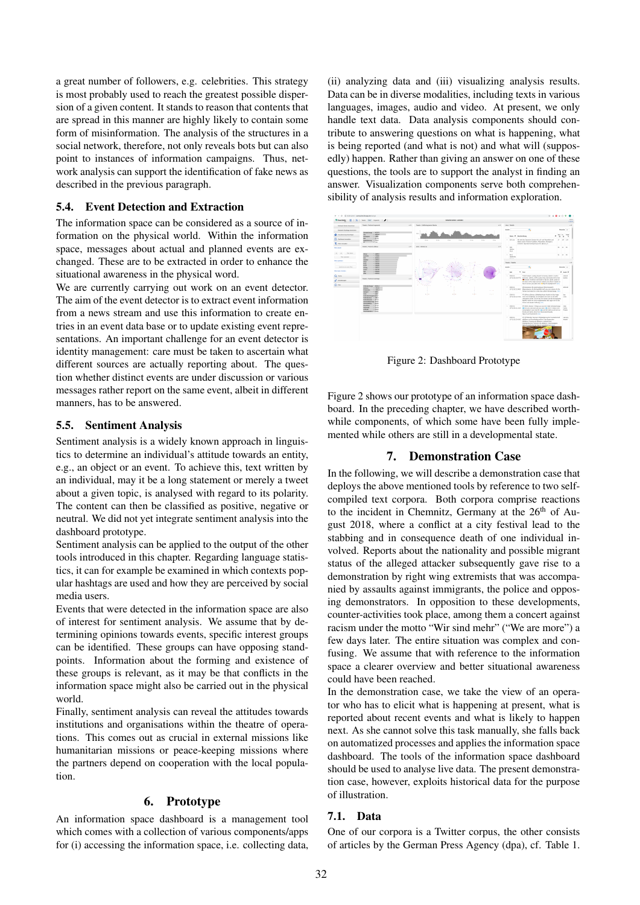a great number of followers, e.g. celebrities. This strategy is most probably used to reach the greatest possible dispersion of a given content. It stands to reason that contents that are spread in this manner are highly likely to contain some form of misinformation. The analysis of the structures in a social network, therefore, not only reveals bots but can also point to instances of information campaigns. Thus, network analysis can support the identification of fake news as described in the previous paragraph.

## 5.4. Event Detection and Extraction

The information space can be considered as a source of information on the physical world. Within the information space, messages about actual and planned events are exchanged. These are to be extracted in order to enhance the situational awareness in the physical word.

We are currently carrying out work on an event detector. The aim of the event detector is to extract event information from a news stream and use this information to create entries in an event data base or to update existing event representations. An important challenge for an event detector is identity management: care must be taken to ascertain what different sources are actually reporting about. The question whether distinct events are under discussion or various messages rather report on the same event, albeit in different manners, has to be answered.

## <span id="page-3-0"></span>5.5. Sentiment Analysis

Sentiment analysis is a widely known approach in linguistics to determine an individual's attitude towards an entity, e.g., an object or an event. To achieve this, text written by an individual, may it be a long statement or merely a tweet about a given topic, is analysed with regard to its polarity. The content can then be classified as positive, negative or neutral. We did not yet integrate sentiment analysis into the dashboard prototype.

Sentiment analysis can be applied to the output of the other tools introduced in this chapter. Regarding language statistics, it can for example be examined in which contexts popular hashtags are used and how they are perceived by social media users.

Events that were detected in the information space are also of interest for sentiment analysis. We assume that by determining opinions towards events, specific interest groups can be identified. These groups can have opposing standpoints. Information about the forming and existence of these groups is relevant, as it may be that conflicts in the information space might also be carried out in the physical world.

Finally, sentiment analysis can reveal the attitudes towards institutions and organisations within the theatre of operations. This comes out as crucial in external missions like humanitarian missions or peace-keeping missions where the partners depend on cooperation with the local population.

# 6. Prototype

An information space dashboard is a management tool which comes with a collection of various components/apps for (i) accessing the information space, i.e. collecting data,

(ii) analyzing data and (iii) visualizing analysis results. Data can be in diverse modalities, including texts in various languages, images, audio and video. At present, we only handle text data. Data analysis components should contribute to answering questions on what is happening, what is being reported (and what is not) and what will (supposedly) happen. Rather than giving an answer on one of these questions, the tools are to support the analyst in finding an answer. Visualization components serve both comprehensibility of analysis results and information exploration.



<span id="page-3-1"></span>Figure 2: Dashboard Prototype

Figure [2](#page-3-1) shows our prototype of an information space dashboard. In the preceding chapter, we have described worthwhile components, of which some have been fully implemented while others are still in a developmental state.

# 7. Demonstration Case

In the following, we will describe a demonstration case that deploys the above mentioned tools by reference to two selfcompiled text corpora. Both corpora comprise reactions to the incident in Chemnitz, Germany at the  $26<sup>th</sup>$  of August 2018, where a conflict at a city festival lead to the stabbing and in consequence death of one individual involved. Reports about the nationality and possible migrant status of the alleged attacker subsequently gave rise to a demonstration by right wing extremists that was accompanied by assaults against immigrants, the police and opposing demonstrators. In opposition to these developments, counter-activities took place, among them a concert against racism under the motto "Wir sind mehr" ("We are more") a few days later. The entire situation was complex and confusing. We assume that with reference to the information space a clearer overview and better situational awareness could have been reached.

In the demonstration case, we take the view of an operator who has to elicit what is happening at present, what is reported about recent events and what is likely to happen next. As she cannot solve this task manually, she falls back on automatized processes and applies the information space dashboard. The tools of the information space dashboard should be used to analyse live data. The present demonstration case, however, exploits historical data for the purpose of illustration.

#### 7.1. Data

One of our corpora is a Twitter corpus, the other consists of articles by the German Press Agency (dpa), cf. Table [1.](#page-4-2)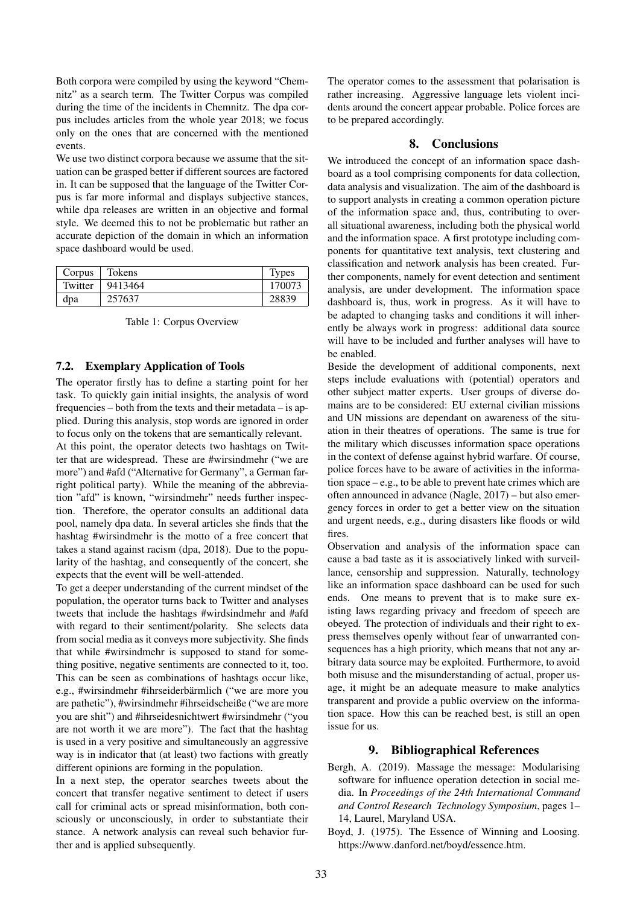Both corpora were compiled by using the keyword "Chemnitz" as a search term. The Twitter Corpus was compiled during the time of the incidents in Chemnitz. The dpa corpus includes articles from the whole year 2018; we focus only on the ones that are concerned with the mentioned events.

We use two distinct corpora because we assume that the situation can be grasped better if different sources are factored in. It can be supposed that the language of the Twitter Corpus is far more informal and displays subjective stances, while dpa releases are written in an objective and formal style. We deemed this to not be problematic but rather an accurate depiction of the domain in which an information space dashboard would be used.

| Corpus  | Tokens  | <b>Types</b> |
|---------|---------|--------------|
| Twitter | 9413464 | 170073       |
| dpa     | 257637  | 28839        |

<span id="page-4-2"></span>Table 1: Corpus Overview

# 7.2. Exemplary Application of Tools

The operator firstly has to define a starting point for her task. To quickly gain initial insights, the analysis of word frequencies – both from the texts and their metadata – is applied. During this analysis, stop words are ignored in order to focus only on the tokens that are semantically relevant.

At this point, the operator detects two hashtags on Twitter that are widespread. These are #wirsindmehr ("we are more") and #afd ("Alternative for Germany", a German farright political party). While the meaning of the abbreviation "afd" is known, "wirsindmehr" needs further inspection. Therefore, the operator consults an additional data pool, namely dpa data. In several articles she finds that the hashtag #wirsindmehr is the motto of a free concert that takes a stand against racism [\(dpa, 2018\)](#page-5-17). Due to the popularity of the hashtag, and consequently of the concert, she expects that the event will be well-attended.

To get a deeper understanding of the current mindset of the population, the operator turns back to Twitter and analyses tweets that include the hashtags #wirdsindmehr and #afd with regard to their sentiment/polarity. She selects data from social media as it conveys more subjectivity. She finds that while #wirsindmehr is supposed to stand for something positive, negative sentiments are connected to it, too. This can be seen as combinations of hashtags occur like, e.g., #wirsindmehr #ihrseiderbärmlich ("we are more you are pathetic"), #wirsindmehr #ihrseidscheiße ("we are more you are shit") and #ihrseidesnichtwert #wirsindmehr ("you are not worth it we are more"). The fact that the hashtag is used in a very positive and simultaneously an aggressive way is in indicator that (at least) two factions with greatly different opinions are forming in the population.

In a next step, the operator searches tweets about the concert that transfer negative sentiment to detect if users call for criminal acts or spread misinformation, both consciously or unconsciously, in order to substantiate their stance. A network analysis can reveal such behavior further and is applied subsequently.

The operator comes to the assessment that polarisation is rather increasing. Aggressive language lets violent incidents around the concert appear probable. Police forces are to be prepared accordingly.

#### 8. Conclusions

We introduced the concept of an information space dashboard as a tool comprising components for data collection, data analysis and visualization. The aim of the dashboard is to support analysts in creating a common operation picture of the information space and, thus, contributing to overall situational awareness, including both the physical world and the information space. A first prototype including components for quantitative text analysis, text clustering and classification and network analysis has been created. Further components, namely for event detection and sentiment analysis, are under development. The information space dashboard is, thus, work in progress. As it will have to be adapted to changing tasks and conditions it will inherently be always work in progress: additional data source will have to be included and further analyses will have to be enabled.

Beside the development of additional components, next steps include evaluations with (potential) operators and other subject matter experts. User groups of diverse domains are to be considered: EU external civilian missions and UN missions are dependant on awareness of the situation in their theatres of operations. The same is true for the military which discusses information space operations in the context of defense against hybrid warfare. Of course, police forces have to be aware of activities in the information space – e.g., to be able to prevent hate crimes which are often announced in advance [\(Nagle, 2017\)](#page-5-18) – but also emergency forces in order to get a better view on the situation and urgent needs, e.g., during disasters like floods or wild fires.

Observation and analysis of the information space can cause a bad taste as it is associatively linked with surveillance, censorship and suppression. Naturally, technology like an information space dashboard can be used for such ends. One means to prevent that is to make sure existing laws regarding privacy and freedom of speech are obeyed. The protection of individuals and their right to express themselves openly without fear of unwarranted consequences has a high priority, which means that not any arbitrary data source may be exploited. Furthermore, to avoid both misuse and the misunderstanding of actual, proper usage, it might be an adequate measure to make analytics transparent and provide a public overview on the information space. How this can be reached best, is still an open issue for us.

## 9. Bibliographical References

- <span id="page-4-1"></span>Bergh, A. (2019). Massage the message: Modularising software for influence operation detection in social media. In *Proceedings of the 24th International Command and Control Research Technology Symposium*, pages 1– 14, Laurel, Maryland USA.
- <span id="page-4-0"></span>Boyd, J. (1975). The Essence of Winning and Loosing. https://www.danford.[net/boyd/essence](https://www.danford.net/boyd/essence.htm).htm.